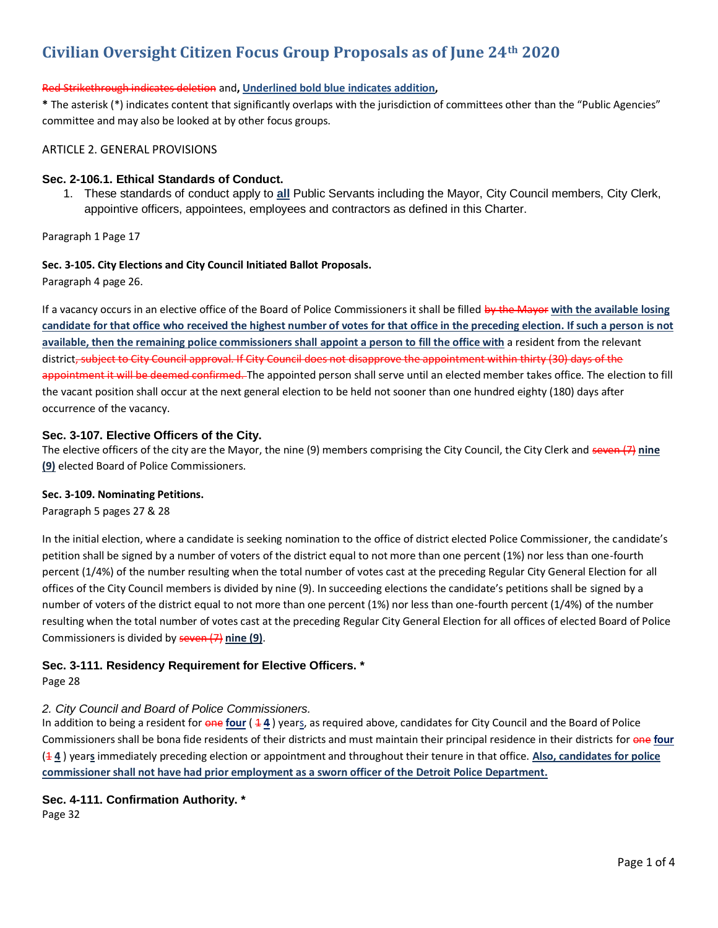# **Civilian Oversight Citizen Focus Group Proposals as of June 24th 2020**

### Red Strikethrough indicates deletion and**, Underlined bold blue indicates addition,**

**\*** The asterisk (\*) indicates content that significantly overlaps with the jurisdiction of committees other than the "Public Agencies" committee and may also be looked at by other focus groups.

### ARTICLE 2. GENERAL PROVISIONS

### **Sec. 2-106.1. Ethical Standards of Conduct.**

1. These standards of conduct apply to **all** Public Servants including the Mayor, City Council members, City Clerk, appointive officers, appointees, employees and contractors as defined in this Charter.

Paragraph 1 Page 17

### **Sec. 3-105. City Elections and City Council Initiated Ballot Proposals.**

Paragraph 4 page 26.

If a vacancy occurs in an elective office of the Board of Police Commissioners it shall be filled by the Mayor **with the available losing candidate for that office who received the highest number of votes for that office in the preceding election. If such a person is not available, then the remaining police commissioners shall appoint a person to fill the office with** a resident from the relevant district, subject to City Council approval. If City Council does not disapprove the appointment within thirty (30) days of the appointment it will be deemed confirmed. The appointed person shall serve until an elected member takes office. The election to fill the vacant position shall occur at the next general election to be held not sooner than one hundred eighty (180) days after occurrence of the vacancy.

### **Sec. 3-107. Elective Officers of the City.**

The elective officers of the city are the Mayor, the nine (9) members comprising the City Council, the City Clerk and seven (7) **nine (9)** elected Board of Police Commissioners.

### **Sec. 3-109. Nominating Petitions.**

Paragraph 5 pages 27 & 28

In the initial election, where a candidate is seeking nomination to the office of district elected Police Commissioner, the candidate's petition shall be signed by a number of voters of the district equal to not more than one percent (1%) nor less than one-fourth percent (1/4%) of the number resulting when the total number of votes cast at the preceding Regular City General Election for all offices of the City Council members is divided by nine (9). In succeeding elections the candidate's petitions shall be signed by a number of voters of the district equal to not more than one percent (1%) nor less than one-fourth percent (1/4%) of the number resulting when the total number of votes cast at the preceding Regular City General Election for all offices of elected Board of Police Commissioners is divided by seven (7) **nine (9)**.

### **Sec. 3-111. Residency Requirement for Elective Officers. \***

Page 28

# *2. City Council and Board of Police Commissioners.*

In addition to being a resident for one four ( $44$ ) years, as required above, candidates for City Council and the Board of Police Commissioners shall be bona fide residents of their districts and must maintain their principal residence in their districts for one **four** (1 **4** ) year**s** immediately preceding election or appointment and throughout their tenure in that office. **Also, candidates for police commissioner shall not have had prior employment as a sworn officer of the Detroit Police Department.**

# **Sec. 4-111. Confirmation Authority. \***

Page 32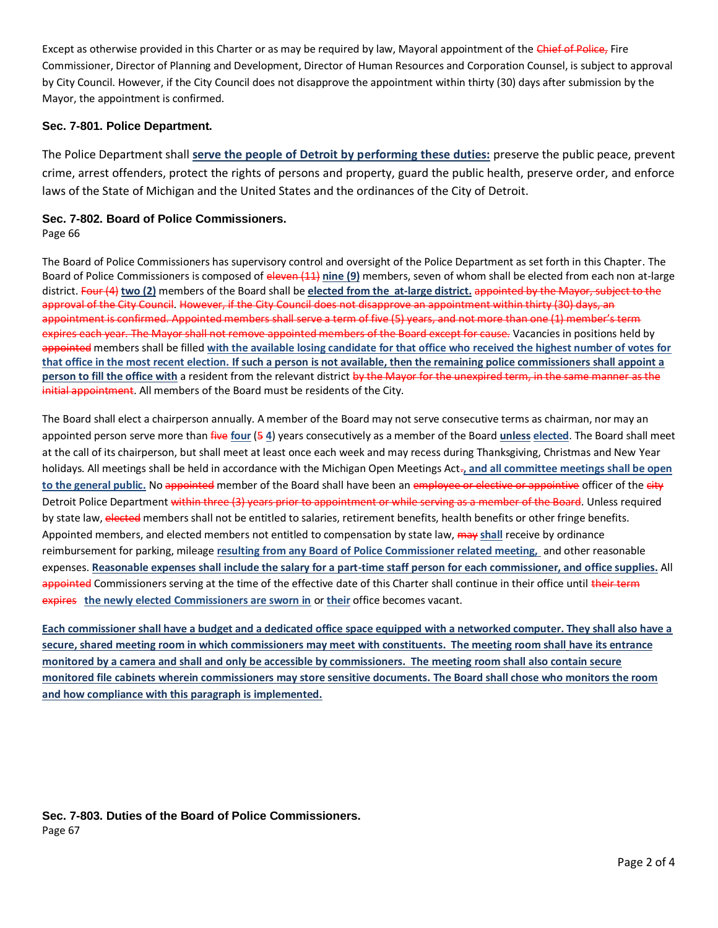Except as otherwise provided in this Charter or as may be required by law, Mayoral appointment of the Chief of Police, Fire Commissioner, Director of Planning and Development, Director of Human Resources and Corporation Counsel, is subject to approval by City Council. However, if the City Council does not disapprove the appointment within thirty (30) days after submission by the Mayor, the appointment is confirmed.

### **Sec. 7-801. Police Department.**

The Police Department shall **serve the people of Detroit by performing these duties:** preserve the public peace, prevent crime, arrest offenders, protect the rights of persons and property, guard the public health, preserve order, and enforce laws of the State of Michigan and the United States and the ordinances of the City of Detroit.

# **Sec. 7-802. Board of Police Commissioners.**

Page 66

The Board of Police Commissioners has supervisory control and oversight of the Police Department as set forth in this Chapter. The Board of Police Commissioners is composed of eleven (11) **nine (9)** members, seven of whom shall be elected from each non at-large district. Four (4) **two (2)** members of the Board shall be **elected from the at-large district.** appointed by the Mayor, subject to the approval of the City Council. However, if the City Council does not disapprove an appointment within thirty (30) days, an appointment is confirmed. Appointed members shall serve a term of five (5) years, and not more than one (1) member's term expires each year. The Mayor shall not remove appointed members of the Board except for cause. Vacancies in positions held by appointed members shall be filled **with the available losing candidate for that office who received the highest number of votes for that office in the most recent election. If such a person is not available, then the remaining police commissioners shall appoint a person to fill the office with** a resident from the relevant district by the Mayor for the unexpired term, in the same manner as the initial appointment. All members of the Board must be residents of the City.

The Board shall elect a chairperson annually. A member of the Board may not serve consecutive terms as chairman, nor may an appointed person serve more than five **four** (5 **4**) years consecutively as a member of the Board **unless elected**. The Board shall meet at the call of its chairperson, but shall meet at least once each week and may recess during Thanksgiving, Christmas and New Year holidays. All meetings shall be held in accordance with the Michigan Open Meetings Act.**, and all committee meetings shall be open**  to the general public. No appointed member of the Board shall have been an employee or elective or appointive officer of the city Detroit Police Department within three (3) years prior to appointment or while serving as a member of the Board. Unless required by state law, elected members shall not be entitled to salaries, retirement benefits, health benefits or other fringe benefits. Appointed members, and elected members not entitled to compensation by state law, may **shall** receive by ordinance reimbursement for parking, mileage **resulting from any Board of Police Commissioner related meeting,** and other reasonable expenses. **Reasonable expenses shall include the salary for a part-time staff person for each commissioner, and office supplies.** All appointed Commissioners serving at the time of the effective date of this Charter shall continue in their office until their term expires **the newly elected Commissioners are sworn in** or **their** office becomes vacant.

**Each commissioner shall have a budget and a dedicated office space equipped with a networked computer. They shall also have a secure, shared meeting room in which commissioners may meet with constituents. The meeting room shall have its entrance monitored by a camera and shall and only be accessible by commissioners. The meeting room shall also contain secure monitored file cabinets wherein commissioners may store sensitive documents. The Board shall chose who monitors the room and how compliance with this paragraph is implemented.**

**Sec. 7-803. Duties of the Board of Police Commissioners.** Page 67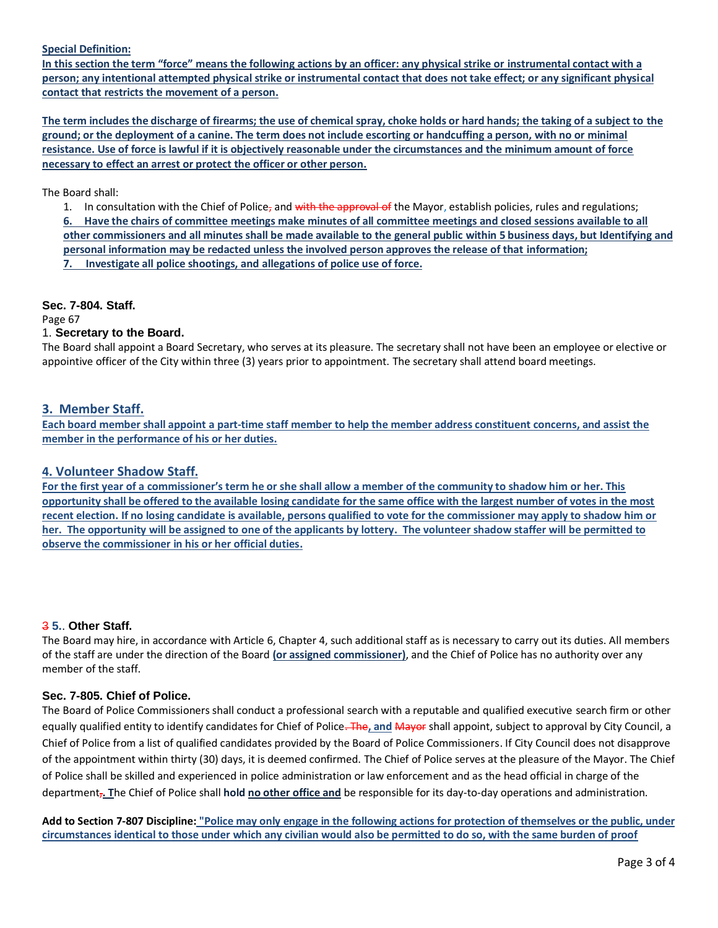#### **Special Definition:**

**In this section the term "force" means the following actions by an officer: any physical strike or instrumental contact with a person; any intentional attempted physical strike or instrumental contact that does not take effect; or any significant physical contact that restricts the movement of a person.**

**The term includes the discharge of firearms; the use of chemical spray, choke holds or hard hands; the taking of a subject to the ground; or the deployment of a canine. The term does not include escorting or handcuffing a person, with no or minimal resistance. Use of force is lawful if it is objectively reasonable under the circumstances and the minimum amount of force necessary to effect an arrest or protect the officer or other person.**

The Board shall:

1. In consultation with the Chief of Police, and with the approval of the Mayor, establish policies, rules and regulations; **6. Have the chairs of committee meetings make minutes of all committee meetings and closed sessions available to all other commissioners and all minutes shall be made available to the general public within 5 business days, but Identifying and personal information may be redacted unless the involved person approves the release of that information; 7. Investigate all police shootings, and allegations of police use of force.**

### **Sec. 7-804. Staff.**

Page 67

### 1. **Secretary to the Board.**

The Board shall appoint a Board Secretary, who serves at its pleasure. The secretary shall not have been an employee or elective or appointive officer of the City within three (3) years prior to appointment. The secretary shall attend board meetings.

### **3. Member Staff.**

**Each board member shall appoint a part-time staff member to help the member address constituent concerns, and assist the member in the performance of his or her duties.**

### **4. Volunteer Shadow Staff.**

**For the first year of a commissioner's term he or she shall allow a member of the community to shadow him or her. This opportunity shall be offered to the available losing candidate for the same office with the largest number of votes in the most recent election. If no losing candidate is available, persons qualified to vote for the commissioner may apply to shadow him or her. The opportunity will be assigned to one of the applicants by lottery. The volunteer shadow staffer will be permitted to observe the commissioner in his or her official duties.**

### 3 **5.**. **Other Staff.**

The Board may hire, in accordance with Article 6, Chapter 4, such additional staff as is necessary to carry out its duties. All members of the staff are under the direction of the Board **(or assigned commissioner)**, and the Chief of Police has no authority over any member of the staff.

### **Sec. 7-805. Chief of Police.**

The Board of Police Commissioners shall conduct a professional search with a reputable and qualified executive search firm or other equally qualified entity to identify candidates for Chief of Police. The**, and** Mayor shall appoint, subject to approval by City Council, a Chief of Police from a list of qualified candidates provided by the Board of Police Commissioners. If City Council does not disapprove of the appointment within thirty (30) days, it is deemed confirmed. The Chief of Police serves at the pleasure of the Mayor. The Chief of Police shall be skilled and experienced in police administration or law enforcement and as the head official in charge of the department,**. T**he Chief of Police shall **hold no other office and** be responsible for its day-to-day operations and administration.

**Add to Section 7-807 Discipline: "Police may only engage in the following actions for protection of themselves or the public, under circumstances identical to those under which any civilian would also be permitted to do so, with the same burden of proof**